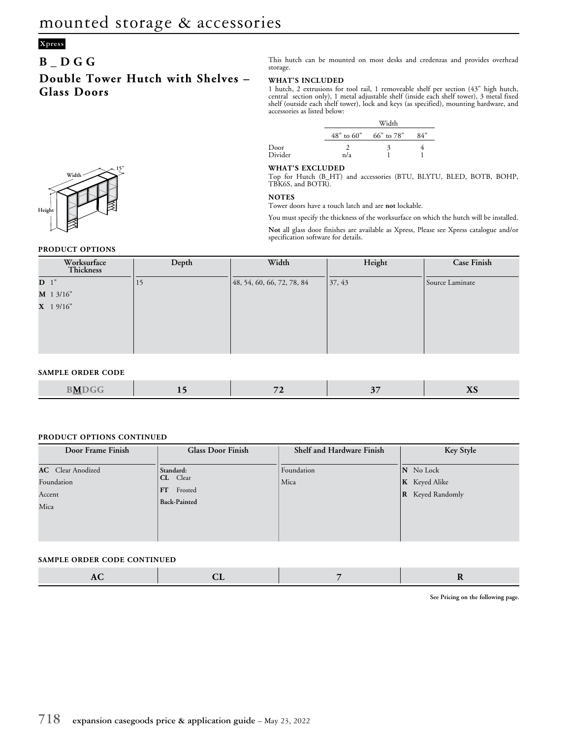## **Xpress**

### **B\_DGG**

**Double Tower Hutch with Shelves – Glass Doors**

This hutch can be mounted on most desks and credenzas and provides overhead storage.

#### **WHAT'S INCLUDED**

1 hutch, 2 extrusions for tool rail, 1 removeable shelf per section (43" high hutch, central section only), 1 metal adjustable shelf (inside each shelf tower), 3 metal fixed shelf (outside each shelf tower), lock and keys (as specified), mounting hardware, and accessories as listed below:

|                 |     | Width                       |     |  |  |  |
|-----------------|-----|-----------------------------|-----|--|--|--|
|                 |     | $48"$ to $60"$ 66" to $78"$ | 84" |  |  |  |
| Door<br>Divider | n/a | 3                           |     |  |  |  |

#### **WHAT'S EXCLUDED**

Top for Hutch (B\_HT) and accessories (BTU, BLYTU, BLED, BOTB, BOHP, TBK6S, and BOTR).

#### **NOTES**

Tower doors have a touch latch and are **not** lockable.

You must specify the thickness of the worksurface on which the hutch will be installed.

**Not** all glass door finishes are available as Xpress, Please see Xpress catalogue and/or specification software for details.

| Worksurface<br>Thickness | Depth  | Width                      | Height | <b>Case Finish</b> |
|--------------------------|--------|----------------------------|--------|--------------------|
| D <sup>1</sup>           | $\cup$ | 48, 54, 60, 66, 72, 78, 84 | 37, 43 | Source Laminate    |
| M 1 3/16"                |        |                            |        |                    |
| $X$ 1 9/16"              |        |                            |        |                    |
|                          |        |                            |        |                    |
|                          |        |                            |        |                    |
|                          |        |                            |        |                    |

#### **SAMPLE ORDER CODE**

|  | . N/I<br>___ |  |  |  | --- |
|--|--------------|--|--|--|-----|
|--|--------------|--|--|--|-----|

#### **PRODUCT OPTIONS CONTINUED**

| Door Frame Finish                                        | <b>Glass Door Finish</b>                                   | Shelf and Hardware Finish | Key Style                                                    |
|----------------------------------------------------------|------------------------------------------------------------|---------------------------|--------------------------------------------------------------|
| <b>AC</b> Clear Anodized<br>Foundation<br>Accent<br>Mica | Standard:<br>CL Clear<br>FT Frosted<br><b>Back-Painted</b> | Foundation<br>Mica        | N No Lock<br><b>K</b> Keyed Alike<br><b>R</b> Keyed Randomly |

#### **SAMPLE ORDER CODE CONTINUED**

|--|

**See Pricing on the following page.**